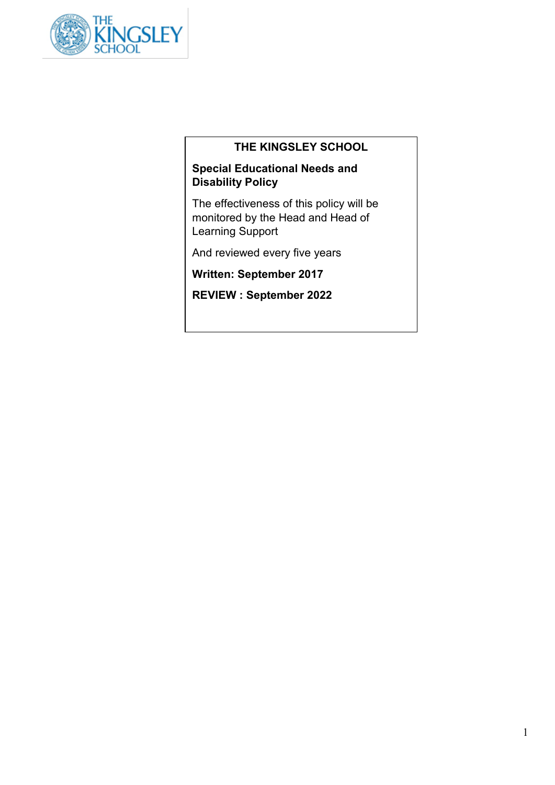

# **THE KINGSLEY SCHOOL**

# **Special Educational Needs and Disability Policy**

The effectiveness of this policy will be monitored by the Head and Head of Learning Support

And reviewed every five years

**Written: September 2017**

**REVIEW : September 2022**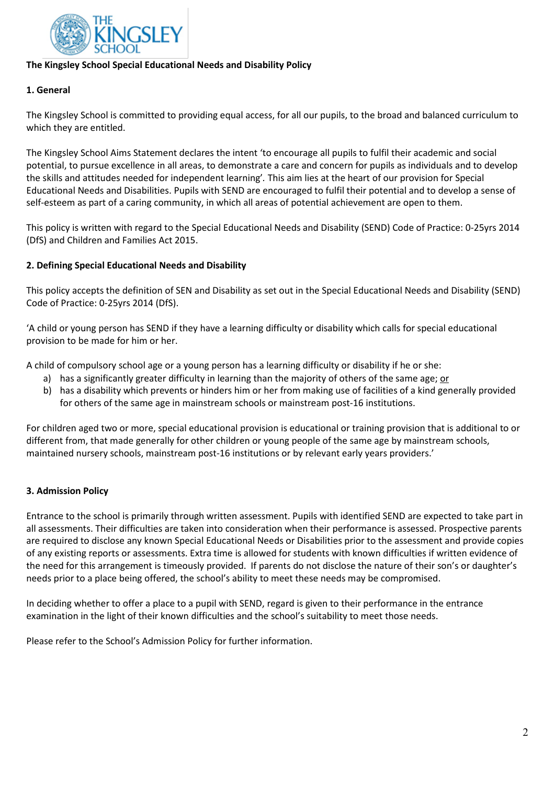

# **The Kingsley School Special Educational Needs and Disability Policy**

# **1. General**

The Kingsley School is committed to providing equal access, for all our pupils, to the broad and balanced curriculum to which they are entitled.

The Kingsley School Aims Statement declares the intent 'to encourage all pupils to fulfil their academic and social potential, to pursue excellence in all areas, to demonstrate a care and concern for pupils as individuals and to develop the skills and attitudes needed for independent learning'*.* This aim lies at the heart of our provision for Special Educational Needs and Disabilities. Pupils with SEND are encouraged to fulfil their potential and to develop a sense of self-esteem as part of a caring community, in which all areas of potential achievement are open to them.

This policy is written with regard to the Special Educational Needs and Disability (SEND) Code of Practice: 0-25yrs 2014 (DfS) and Children and Families Act 2015.

# **2. Defining Special Educational Needs and Disability**

This policy accepts the definition of SEN and Disability as set out in the Special Educational Needs and Disability (SEND) Code of Practice: 0-25yrs 2014 (DfS).

'A child or young person has SEND if they have a learning difficulty or disability which calls for special educational provision to be made for him or her.

A child of compulsory school age or a young person has a learning difficulty or disability if he or she:

- a) has a significantly greater difficulty in learning than the majority of others of the same age; or
- b) has a disability which prevents or hinders him or her from making use of facilities of a kind generally provided for others of the same age in mainstream schools or mainstream post-16 institutions.

For children aged two or more, special educational provision is educational or training provision that is additional to or different from, that made generally for other children or young people of the same age by mainstream schools, maintained nursery schools, mainstream post-16 institutions or by relevant early years providers.'

# **3. Admission Policy**

Entrance to the school is primarily through written assessment. Pupils with identified SEND are expected to take part in all assessments. Their difficulties are taken into consideration when their performance is assessed. Prospective parents are required to disclose any known Special Educational Needs or Disabilities prior to the assessment and provide copies of any existing reports or assessments. Extra time is allowed for students with known difficulties if written evidence of the need for this arrangement is timeously provided. If parents do not disclose the nature of their son's or daughter's needs prior to a place being offered, the school's ability to meet these needs may be compromised.

In deciding whether to offer a place to a pupil with SEND, regard is given to their performance in the entrance examination in the light of their known difficulties and the school's suitability to meet those needs.

Please refer to the School's Admission Policy for further information.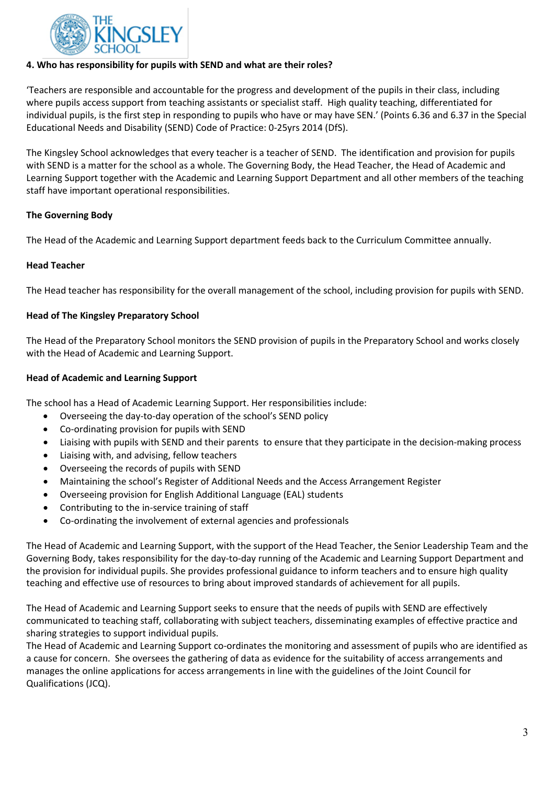

# **4. Who has responsibility for pupils with SEND and what are their roles?**

'Teachers are responsible and accountable for the progress and development of the pupils in their class, including where pupils access support from teaching assistants or specialist staff. High quality teaching, differentiated for individual pupils, is the first step in responding to pupils who have or may have SEN.' (Points 6.36 and 6.37 in the Special Educational Needs and Disability (SEND) Code of Practice: 0-25yrs 2014 (DfS).

The Kingsley School acknowledges that every teacher is a teacher of SEND. The identification and provision for pupils with SEND is a matter for the school as a whole. The Governing Body, the Head Teacher, the Head of Academic and Learning Support together with the Academic and Learning Support Department and all other members of the teaching staff have important operational responsibilities.

# **The Governing Body**

The Head of the Academic and Learning Support department feeds back to the Curriculum Committee annually.

#### **Head Teacher**

The Head teacher has responsibility for the overall management of the school, including provision for pupils with SEND.

# **Head of The Kingsley Preparatory School**

The Head of the Preparatory School monitors the SEND provision of pupils in the Preparatory School and works closely with the Head of Academic and Learning Support.

#### **Head of Academic and Learning Support**

The school has a Head of Academic Learning Support. Her responsibilities include:

- Overseeing the day-to-day operation of the school's SEND policy
- Co-ordinating provision for pupils with SEND
- Liaising with pupils with SEND and their parents to ensure that they participate in the decision-making process
- Liaising with, and advising, fellow teachers
- Overseeing the records of pupils with SEND
- Maintaining the school's Register of Additional Needs and the Access Arrangement Register
- Overseeing provision for English Additional Language (EAL) students
- Contributing to the in-service training of staff
- Co-ordinating the involvement of external agencies and professionals

The Head of Academic and Learning Support, with the support of the Head Teacher, the Senior Leadership Team and the Governing Body, takes responsibility for the day-to-day running of the Academic and Learning Support Department and the provision for individual pupils. She provides professional guidance to inform teachers and to ensure high quality teaching and effective use of resources to bring about improved standards of achievement for all pupils.

The Head of Academic and Learning Support seeks to ensure that the needs of pupils with SEND are effectively communicated to teaching staff, collaborating with subject teachers, disseminating examples of effective practice and sharing strategies to support individual pupils.

The Head of Academic and Learning Support co-ordinates the monitoring and assessment of pupils who are identified as a cause for concern. She oversees the gathering of data as evidence for the suitability of access arrangements and manages the online applications for access arrangements in line with the guidelines of the Joint Council for Qualifications (JCQ).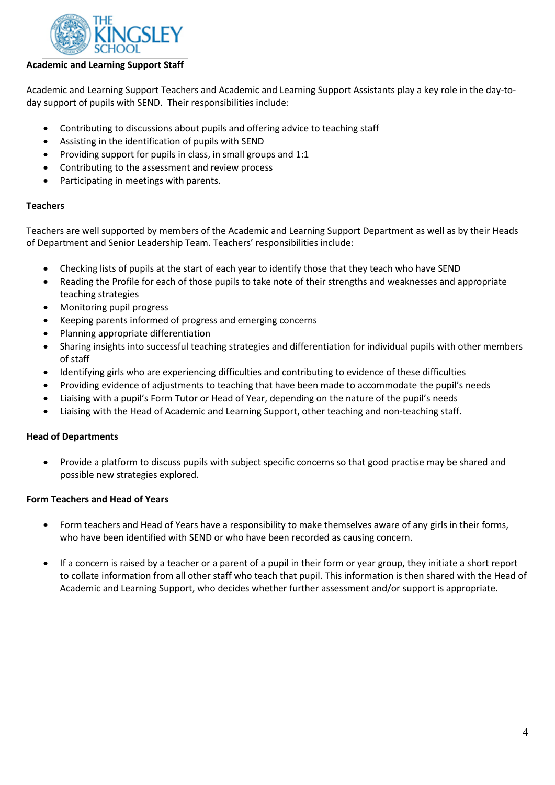

# **Academic and Learning Support Staff**

Academic and Learning Support Teachers and Academic and Learning Support Assistants play a key role in the day-today support of pupils with SEND. Their responsibilities include:

- Contributing to discussions about pupils and offering advice to teaching staff
- Assisting in the identification of pupils with SEND
- Providing support for pupils in class, in small groups and 1:1
- Contributing to the assessment and review process
- Participating in meetings with parents.

# **Teachers**

Teachers are well supported by members of the Academic and Learning Support Department as well as by their Heads of Department and Senior Leadership Team. Teachers' responsibilities include:

- Checking lists of pupils at the start of each year to identify those that they teach who have SEND
- Reading the Profile for each of those pupils to take note of their strengths and weaknesses and appropriate teaching strategies
- Monitoring pupil progress
- Keeping parents informed of progress and emerging concerns
- Planning appropriate differentiation
- Sharing insights into successful teaching strategies and differentiation for individual pupils with other members of staff
- Identifying girls who are experiencing difficulties and contributing to evidence of these difficulties
- Providing evidence of adjustments to teaching that have been made to accommodate the pupil's needs
- Liaising with a pupil's Form Tutor or Head of Year, depending on the nature of the pupil's needs
- Liaising with the Head of Academic and Learning Support, other teaching and non-teaching staff.

#### **Head of Departments**

• Provide a platform to discuss pupils with subject specific concerns so that good practise may be shared and possible new strategies explored.

#### **Form Teachers and Head of Years**

- Form teachers and Head of Years have a responsibility to make themselves aware of any girls in their forms, who have been identified with SEND or who have been recorded as causing concern.
- If a concern is raised by a teacher or a parent of a pupil in their form or year group, they initiate a short report to collate information from all other staff who teach that pupil. This information is then shared with the Head of Academic and Learning Support, who decides whether further assessment and/or support is appropriate.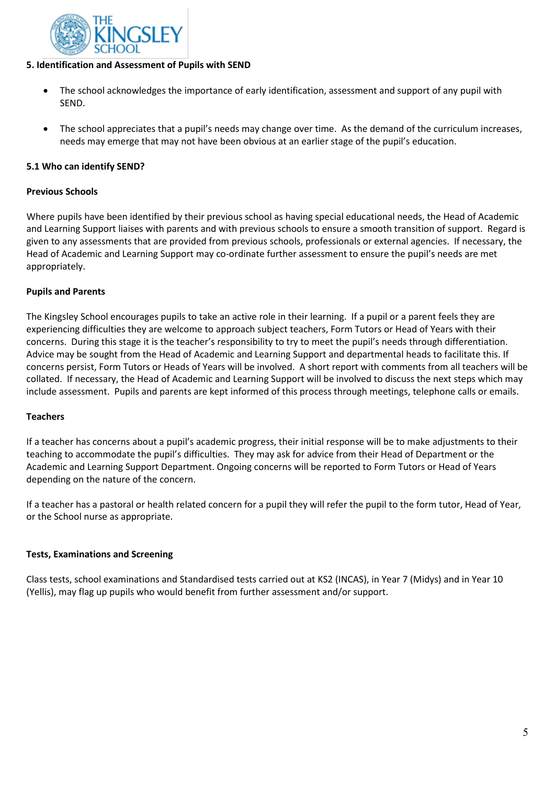

# **5. Identification and Assessment of Pupils with SEND**

- The school acknowledges the importance of early identification, assessment and support of any pupil with SEND.
- The school appreciates that a pupil's needs may change over time. As the demand of the curriculum increases, needs may emerge that may not have been obvious at an earlier stage of the pupil's education.

# **5.1 Who can identify SEND?**

#### **Previous Schools**

Where pupils have been identified by their previous school as having special educational needs, the Head of Academic and Learning Support liaises with parents and with previous schools to ensure a smooth transition of support. Regard is given to any assessments that are provided from previous schools, professionals or external agencies. If necessary, the Head of Academic and Learning Support may co-ordinate further assessment to ensure the pupil's needs are met appropriately.

# **Pupils and Parents**

The Kingsley School encourages pupils to take an active role in their learning. If a pupil or a parent feels they are experiencing difficulties they are welcome to approach subject teachers, Form Tutors or Head of Years with their concerns. During this stage it is the teacher's responsibility to try to meet the pupil's needs through differentiation. Advice may be sought from the Head of Academic and Learning Support and departmental heads to facilitate this. If concerns persist, Form Tutors or Heads of Years will be involved. A short report with comments from all teachers will be collated. If necessary, the Head of Academic and Learning Support will be involved to discuss the next steps which may include assessment. Pupils and parents are kept informed of this process through meetings, telephone calls or emails.

#### **Teachers**

If a teacher has concerns about a pupil's academic progress, their initial response will be to make adjustments to their teaching to accommodate the pupil's difficulties. They may ask for advice from their Head of Department or the Academic and Learning Support Department. Ongoing concerns will be reported to Form Tutors or Head of Years depending on the nature of the concern.

If a teacher has a pastoral or health related concern for a pupil they will refer the pupil to the form tutor, Head of Year, or the School nurse as appropriate.

#### **Tests, Examinations and Screening**

Class tests, school examinations and Standardised tests carried out at KS2 (INCAS), in Year 7 (Midys) and in Year 10 (Yellis), may flag up pupils who would benefit from further assessment and/or support.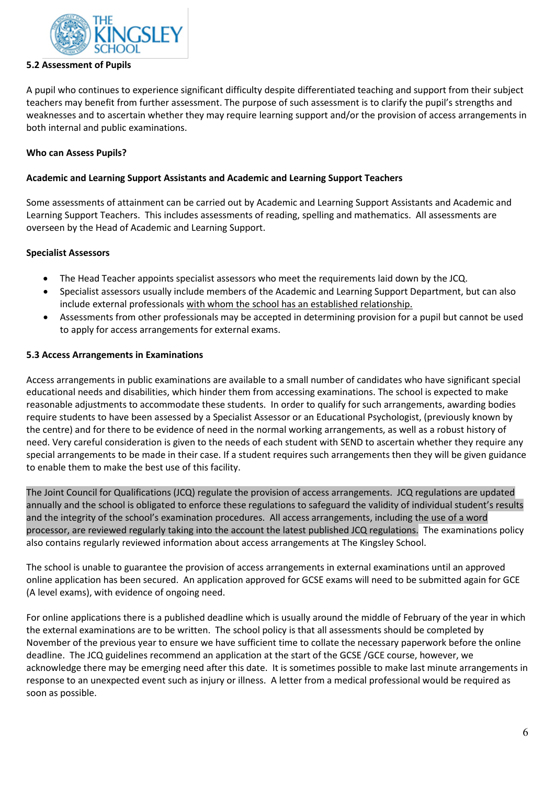

### **5.2 Assessment of Pupils**

A pupil who continues to experience significant difficulty despite differentiated teaching and support from their subject teachers may benefit from further assessment. The purpose of such assessment is to clarify the pupil's strengths and weaknesses and to ascertain whether they may require learning support and/or the provision of access arrangements in both internal and public examinations.

### **Who can Assess Pupils?**

### **Academic and Learning Support Assistants and Academic and Learning Support Teachers**

Some assessments of attainment can be carried out by Academic and Learning Support Assistants and Academic and Learning Support Teachers. This includes assessments of reading, spelling and mathematics. All assessments are overseen by the Head of Academic and Learning Support.

# **Specialist Assessors**

- The Head Teacher appoints specialist assessors who meet the requirements laid down by the JCQ.
- Specialist assessors usually include members of the Academic and Learning Support Department, but can also include external professionals with whom the school has an established relationship.
- Assessments from other professionals may be accepted in determining provision for a pupil but cannot be used to apply for access arrangements for external exams.

# **5.3 Access Arrangements in Examinations**

Access arrangements in public examinations are available to a small number of candidates who have significant special educational needs and disabilities, which hinder them from accessing examinations. The school is expected to make reasonable adjustments to accommodate these students. In order to qualify for such arrangements, awarding bodies require students to have been assessed by a Specialist Assessor or an Educational Psychologist, (previously known by the centre) and for there to be evidence of need in the normal working arrangements, as well as a robust history of need. Very careful consideration is given to the needs of each student with SEND to ascertain whether they require any special arrangements to be made in their case. If a student requires such arrangements then they will be given guidance to enable them to make the best use of this facility.

The Joint Council for Qualifications (JCQ) regulate the provision of access arrangements. JCQ regulations are updated annually and the school is obligated to enforce these regulations to safeguard the validity of individual student's results and the integrity of the school's examination procedures. All access arrangements, including the use of a word processor, are reviewed regularly taking into the account the latest published JCQ regulations. The examinations policy also contains regularly reviewed information about access arrangements at The Kingsley School.

The school is unable to guarantee the provision of access arrangements in external examinations until an approved online application has been secured. An application approved for GCSE exams will need to be submitted again for GCE (A level exams), with evidence of ongoing need.

For online applications there is a published deadline which is usually around the middle of February of the year in which the external examinations are to be written. The school policy is that all assessments should be completed by November of the previous year to ensure we have sufficient time to collate the necessary paperwork before the online deadline. The JCQ guidelines recommend an application at the start of the GCSE /GCE course, however, we acknowledge there may be emerging need after this date. It is sometimes possible to make last minute arrangements in response to an unexpected event such as injury or illness. A letter from a medical professional would be required as soon as possible.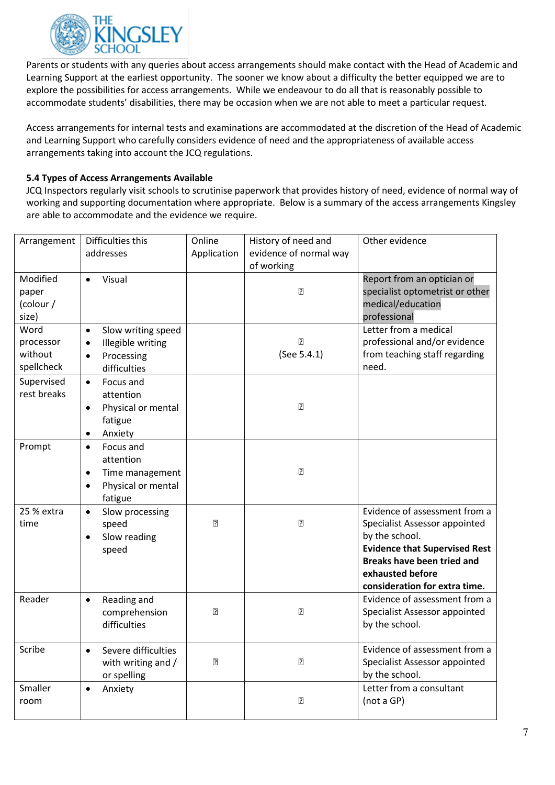

Parents or students with any queries about access arrangements should make contact with the Head of Academic and Learning Support at the earliest opportunity. The sooner we know about a difficulty the better equipped we are to explore the possibilities for access arrangements. While we endeavour to do all that is reasonably possible to accommodate students' disabilities, there may be occasion when we are not able to meet a particular request.

Access arrangements for internal tests and examinations are accommodated at the discretion of the Head of Academic and Learning Support who carefully considers evidence of need and the appropriateness of available access arrangements taking into account the JCQ regulations.

# **5.4 Types of Access Arrangements Available**

JCQ Inspectors regularly visit schools to scrutinise paperwork that provides history of need, evidence of normal way of working and supporting documentation where appropriate. Below is a summary of the access arrangements Kingsley are able to accommodate and the evidence we require.

| Arrangement        | Difficulties this                          | Online         | History of need and    | Other evidence                                                |
|--------------------|--------------------------------------------|----------------|------------------------|---------------------------------------------------------------|
|                    | addresses                                  | Application    | evidence of normal way |                                                               |
|                    |                                            |                | of working             |                                                               |
| Modified           | Visual<br>$\bullet$                        |                | $\overline{2}$         | Report from an optician or<br>specialist optometrist or other |
| paper<br>(colour / |                                            |                |                        | medical/education                                             |
| size)              |                                            |                |                        | professional                                                  |
| Word               | Slow writing speed<br>$\bullet$            |                |                        | Letter from a medical                                         |
| processor          | Illegible writing<br>$\bullet$             |                | $\overline{?}$         | professional and/or evidence                                  |
| without            | Processing<br>$\bullet$                    |                | (See 5.4.1)            | from teaching staff regarding                                 |
| spellcheck         | difficulties                               |                |                        | need.                                                         |
| Supervised         | Focus and<br>$\bullet$                     |                |                        |                                                               |
| rest breaks        | attention                                  |                |                        |                                                               |
|                    | Physical or mental<br>$\bullet$            |                | $\overline{?}$         |                                                               |
|                    | fatigue                                    |                |                        |                                                               |
|                    | Anxiety<br>$\bullet$                       |                |                        |                                                               |
| Prompt             | Focus and<br>$\bullet$                     |                |                        |                                                               |
|                    | attention                                  |                | $\overline{?}$         |                                                               |
|                    | Time management<br>$\bullet$               |                |                        |                                                               |
|                    | Physical or mental<br>$\bullet$<br>fatigue |                |                        |                                                               |
| 25 % extra         | Slow processing<br>$\bullet$               |                |                        | Evidence of assessment from a                                 |
| time               | speed                                      | 卪              | 卪                      | Specialist Assessor appointed                                 |
|                    | Slow reading<br>$\bullet$                  |                |                        | by the school.                                                |
|                    | speed                                      |                |                        | <b>Evidence that Supervised Rest</b>                          |
|                    |                                            |                |                        | <b>Breaks have been tried and</b>                             |
|                    |                                            |                |                        | exhausted before                                              |
|                    |                                            |                |                        | consideration for extra time.                                 |
| Reader             | Reading and<br>$\bullet$                   |                |                        | Evidence of assessment from a                                 |
|                    | comprehension<br>difficulties              | $\overline{2}$ | $\overline{2}$         | Specialist Assessor appointed<br>by the school.               |
|                    |                                            |                |                        |                                                               |
| Scribe             | Severe difficulties<br>$\bullet$           |                |                        | Evidence of assessment from a                                 |
|                    | with writing and /                         | 卪              | 卪                      | Specialist Assessor appointed                                 |
|                    | or spelling                                |                |                        | by the school.                                                |
| Smaller            | Anxiety<br>$\bullet$                       |                |                        | Letter from a consultant                                      |
| room               |                                            |                | 卪                      | (not a GP)                                                    |
|                    |                                            |                |                        |                                                               |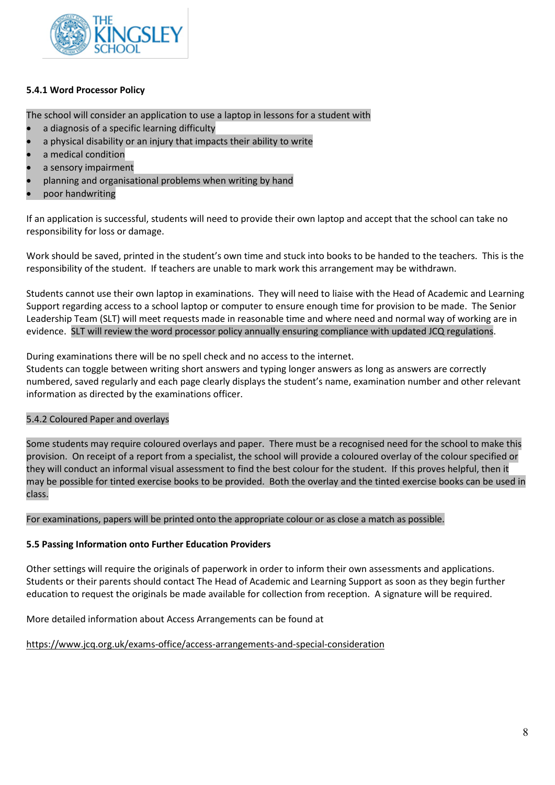

# **5.4.1 Word Processor Policy**

The school will consider an application to use a laptop in lessons for a student with

- a diagnosis of a specific learning difficulty
- a physical disability or an injury that impacts their ability to write
- a medical condition
- a sensory impairment
- planning and organisational problems when writing by hand
- poor handwriting

If an application is successful, students will need to provide their own laptop and accept that the school can take no responsibility for loss or damage.

Work should be saved, printed in the student's own time and stuck into books to be handed to the teachers. This is the responsibility of the student. If teachers are unable to mark work this arrangement may be withdrawn.

Students cannot use their own laptop in examinations. They will need to liaise with the Head of Academic and Learning Support regarding access to a school laptop or computer to ensure enough time for provision to be made. The Senior Leadership Team (SLT) will meet requests made in reasonable time and where need and normal way of working are in evidence. SLT will review the word processor policy annually ensuring compliance with updated JCQ regulations.

During examinations there will be no spell check and no access to the internet.

Students can toggle between writing short answers and typing longer answers as long as answers are correctly numbered, saved regularly and each page clearly displays the student's name, examination number and other relevant information as directed by the examinations officer.

#### 5.4.2 Coloured Paper and overlays

Some students may require coloured overlays and paper. There must be a recognised need for the school to make this provision. On receipt of a report from a specialist, the school will provide a coloured overlay of the colour specified or they will conduct an informal visual assessment to find the best colour for the student. If this proves helpful, then it may be possible for tinted exercise books to be provided. Both the overlay and the tinted exercise books can be used in class.

For examinations, papers will be printed onto the appropriate colour or as close a match as possible.

#### **5.5 Passing Information onto Further Education Providers**

Other settings will require the originals of paperwork in order to inform their own assessments and applications. Students or their parents should contact The Head of Academic and Learning Support as soon as they begin further education to request the originals be made available for collection from reception. A signature will be required.

More detailed information about Access Arrangements can be found at

<https://www.jcq.org.uk/exams-office/access-arrangements-and-special-consideration>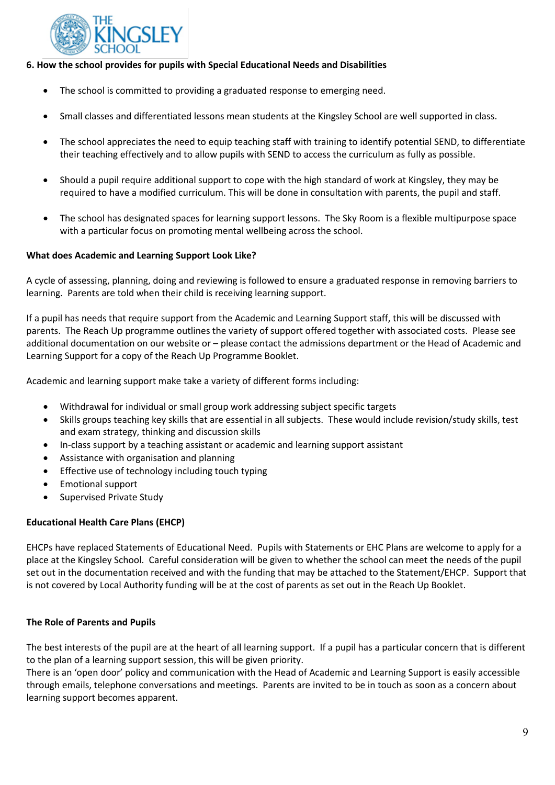

# **6. How the school provides for pupils with Special Educational Needs and Disabilities**

- The school is committed to providing a graduated response to emerging need.
- Small classes and differentiated lessons mean students at the Kingsley School are well supported in class.
- The school appreciates the need to equip teaching staff with training to identify potential SEND, to differentiate their teaching effectively and to allow pupils with SEND to access the curriculum as fully as possible.
- Should a pupil require additional support to cope with the high standard of work at Kingsley, they may be required to have a modified curriculum. This will be done in consultation with parents, the pupil and staff.
- The school has designated spaces for learning support lessons. The Sky Room is a flexible multipurpose space with a particular focus on promoting mental wellbeing across the school.

#### **What does Academic and Learning Support Look Like?**

A cycle of assessing, planning, doing and reviewing is followed to ensure a graduated response in removing barriers to learning. Parents are told when their child is receiving learning support.

If a pupil has needs that require support from the Academic and Learning Support staff, this will be discussed with parents. The Reach Up programme outlines the variety of support offered together with associated costs. Please see additional documentation on our website or – please contact the admissions department or the Head of Academic and Learning Support for a copy of the Reach Up Programme Booklet.

Academic and learning support make take a variety of different forms including:

- Withdrawal for individual or small group work addressing subject specific targets
- Skills groups teaching key skills that are essential in all subjects. These would include revision/study skills, test and exam strategy, thinking and discussion skills
- In-class support by a teaching assistant or academic and learning support assistant
- Assistance with organisation and planning
- Effective use of technology including touch typing
- Emotional support
- Supervised Private Study

#### **Educational Health Care Plans (EHCP)**

EHCPs have replaced Statements of Educational Need. Pupils with Statements or EHC Plans are welcome to apply for a place at the Kingsley School. Careful consideration will be given to whether the school can meet the needs of the pupil set out in the documentation received and with the funding that may be attached to the Statement/EHCP. Support that is not covered by Local Authority funding will be at the cost of parents as set out in the Reach Up Booklet.

#### **The Role of Parents and Pupils**

The best interests of the pupil are at the heart of all learning support. If a pupil has a particular concern that is different to the plan of a learning support session, this will be given priority.

There is an 'open door' policy and communication with the Head of Academic and Learning Support is easily accessible through emails, telephone conversations and meetings. Parents are invited to be in touch as soon as a concern about learning support becomes apparent.